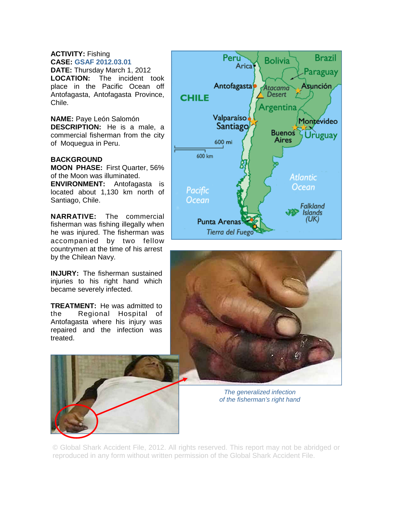# **ACTIVITY:** Fishing

**CASE: GSAF 2012.03.01 DATE:** Thursday March 1, 2012 **LOCATION:** The incident took place in the Pacific Ocean off Antofagasta, Antofagasta Province, Chile.

# **NAME:** Paye León Salomón

**DESCRIPTION:** He is a male, a commercial fisherman from the city of Moquegua in Peru.

# **BACKGROUND**

**MOON PHASE:** First Quarter, 56% of the Moon was illuminated.

**ENVIRONMENT:** Antofagasta is located about 1,130 km north of Santiago, Chile.

**NARRATIVE:** The commercial fisherman was fishing illegally when he was injured. The fisherman was accompanied by two fellow countrymen at the time of his arrest by the Chilean Navy.

**INJURY:** The fisherman sustained injuries to his right hand which became severely infected.

**TREATMENT:** He was admitted to the Regional Hospital of Antofagasta where his injury was repaired and the infection was treated.







*The generalized infection of the fisherman's right hand*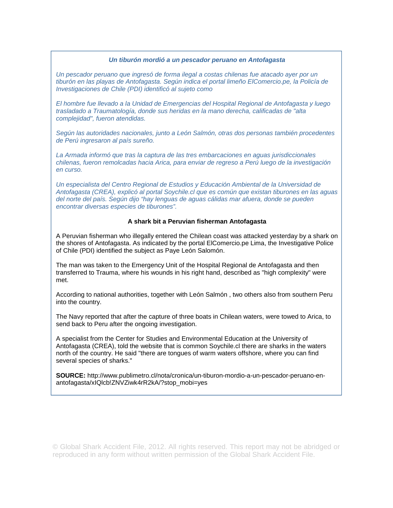#### *Un tiburón mordió a un pescador peruano en Antofagasta*

*Un pescador peruano que ingresó de forma ilegal a costas chilenas fue atacado ayer por un tiburón en las playas de Antofagasta. Según indica el portal limeño ElComercio.pe, la Policía de Investigaciones de Chile (PDI) identificó al sujeto como* 

*El hombre fue llevado a la Unidad de Emergencias del Hospital Regional de Antofagasta y luego trasladado a Traumatología, donde sus heridas en la mano derecha, calificadas de "alta complejidad", fueron atendidas.* 

*Según las autoridades nacionales, junto a León Salmón, otras dos personas también procedentes de Perú ingresaron al país sureño.* 

*La Armada informó que tras la captura de las tres embarcaciones en aguas jurisdiccionales chilenas, fueron remolcadas hacia Arica, para enviar de regreso a Perú luego de la investigación en curso.* 

*Un especialista del Centro Regional de Estudios y Educación Ambiental de la Universidad de Antofagasta (CREA), explicó al portal Soychile.cl que es común que existan tiburones en las aguas del norte del país. Según dijo "hay lenguas de aguas cálidas mar afuera, donde se pueden encontrar diversas especies de tiburones".* 

#### **A shark bit a Peruvian fisherman Antofagasta**

A Peruvian fisherman who illegally entered the Chilean coast was attacked yesterday by a shark on the shores of Antofagasta. As indicated by the portal ElComercio.pe Lima, the Investigative Police of Chile (PDI) identified the subject as Paye León Salomón.

The man was taken to the Emergency Unit of the Hospital Regional de Antofagasta and then transferred to Trauma, where his wounds in his right hand, described as "high complexity" were met.

According to national authorities, together with León Salmón , two others also from southern Peru into the country.

The Navy reported that after the capture of three boats in Chilean waters, were towed to Arica, to send back to Peru after the ongoing investigation.

A specialist from the Center for Studies and Environmental Education at the University of Antofagasta (CREA), told the website that is common Soychile.cl there are sharks in the waters north of the country. He said "there are tongues of warm waters offshore, where you can find several species of sharks."

**SOURCE:** http://www.publimetro.cl/nota/cronica/un-tiburon-mordio-a-un-pescador-peruano-enantofagasta/xIQlcb!ZNVZiwk4rR2kA/?stop\_mobi=yes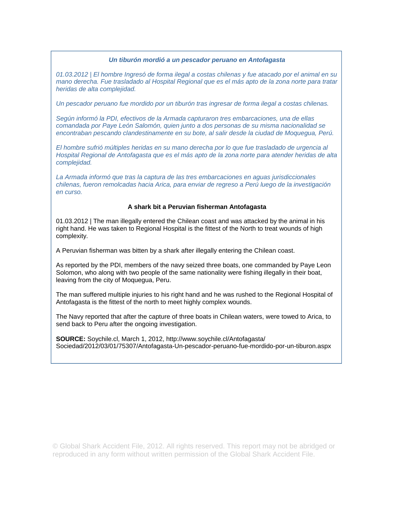### *Un tiburón mordió a un pescador peruano en Antofagasta*

*01.03.2012 | El hombre Ingresó de forma ilegal a costas chilenas y fue atacado por el animal en su mano derecha. Fue trasladado al Hospital Regional que es el más apto de la zona norte para tratar heridas de alta complejidad.* 

*Un pescador peruano fue mordido por un tiburón tras ingresar de forma ilegal a costas chilenas.* 

*Según informó la PDI, efectivos de la Armada capturaron tres embarcaciones, una de ellas comandada por Paye León Salomón, quien junto a dos personas de su misma nacionalidad se encontraban pescando clandestinamente en su bote, al salir desde la ciudad de Moquegua, Perú.* 

*El hombre sufrió múltiples heridas en su mano derecha por lo que fue trasladado de urgencia al Hospital Regional de Antofagasta que es el más apto de la zona norte para atender heridas de alta complejidad.* 

*La Armada informó que tras la captura de las tres embarcaciones en aguas jurisdiccionales chilenas, fueron remolcadas hacia Arica, para enviar de regreso a Perú luego de la investigación en curso.* 

### **A shark bit a Peruvian fisherman Antofagasta**

01.03.2012 | The man illegally entered the Chilean coast and was attacked by the animal in his right hand. He was taken to Regional Hospital is the fittest of the North to treat wounds of high complexity.

A Peruvian fisherman was bitten by a shark after illegally entering the Chilean coast.

As reported by the PDI, members of the navy seized three boats, one commanded by Paye Leon Solomon, who along with two people of the same nationality were fishing illegally in their boat, leaving from the city of Moquegua, Peru.

The man suffered multiple injuries to his right hand and he was rushed to the Regional Hospital of Antofagasta is the fittest of the north to meet highly complex wounds.

The Navy reported that after the capture of three boats in Chilean waters, were towed to Arica, to send back to Peru after the ongoing investigation.

**SOURCE:** Soychile.cl, March 1, 2012, http://www.soychile.cl/Antofagasta/ Sociedad/2012/03/01/75307/Antofagasta-Un-pescador-peruano-fue-mordido-por-un-tiburon.aspx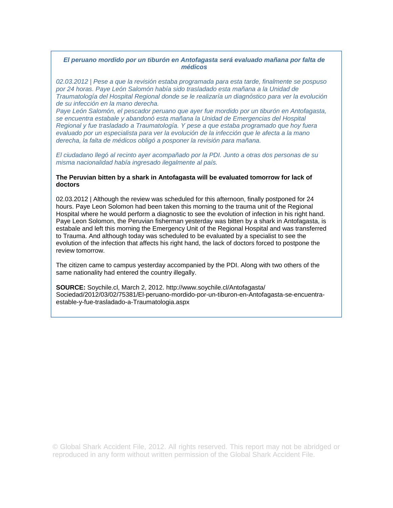#### *El peruano mordido por un tiburón en Antofagasta será evaluado mañana por falta de médicos*

*02.03.2012 | Pese a que la revisión estaba programada para esta tarde, finalmente se pospuso por 24 horas. Paye León Salomón había sido trasladado esta mañana a la Unidad de Traumatología del Hospital Regional donde se le realizaría un diagnóstico para ver la evolución de su infección en la mano derecha.* 

*Paye León Salomón, el pescador peruano que ayer fue mordido por un tiburón en Antofagasta, se encuentra estabale y abandonó esta mañana la Unidad de Emergencias del Hospital Regional y fue trasladado a Traumatología. Y pese a que estaba programado que hoy fuera evaluado por un especialista para ver la evolución de la infección que le afecta a la mano derecha, la falta de médicos obligó a posponer la revisión para mañana.* 

*El ciudadano llegó al recinto ayer acompañado por la PDI. Junto a otras dos personas de su misma nacionalidad había ingresado ilegalmente al país.* 

#### **The Peruvian bitten by a shark in Antofagasta will be evaluated tomorrow for lack of doctors**

02.03.2012 | Although the review was scheduled for this afternoon, finally postponed for 24 hours. Paye Leon Solomon had been taken this morning to the trauma unit of the Regional Hospital where he would perform a diagnostic to see the evolution of infection in his right hand. Paye Leon Solomon, the Peruvian fisherman yesterday was bitten by a shark in Antofagasta, is estabale and left this morning the Emergency Unit of the Regional Hospital and was transferred to Trauma. And although today was scheduled to be evaluated by a specialist to see the evolution of the infection that affects his right hand, the lack of doctors forced to postpone the review tomorrow.

The citizen came to campus yesterday accompanied by the PDI. Along with two others of the same nationality had entered the country illegally.

**SOURCE:** Soychile.cl, March 2, 2012. http://www.soychile.cl/Antofagasta/ Sociedad/2012/03/02/75381/El-peruano-mordido-por-un-tiburon-en-Antofagasta-se-encuentraestable-y-fue-trasladado-a-Traumatologia.aspx